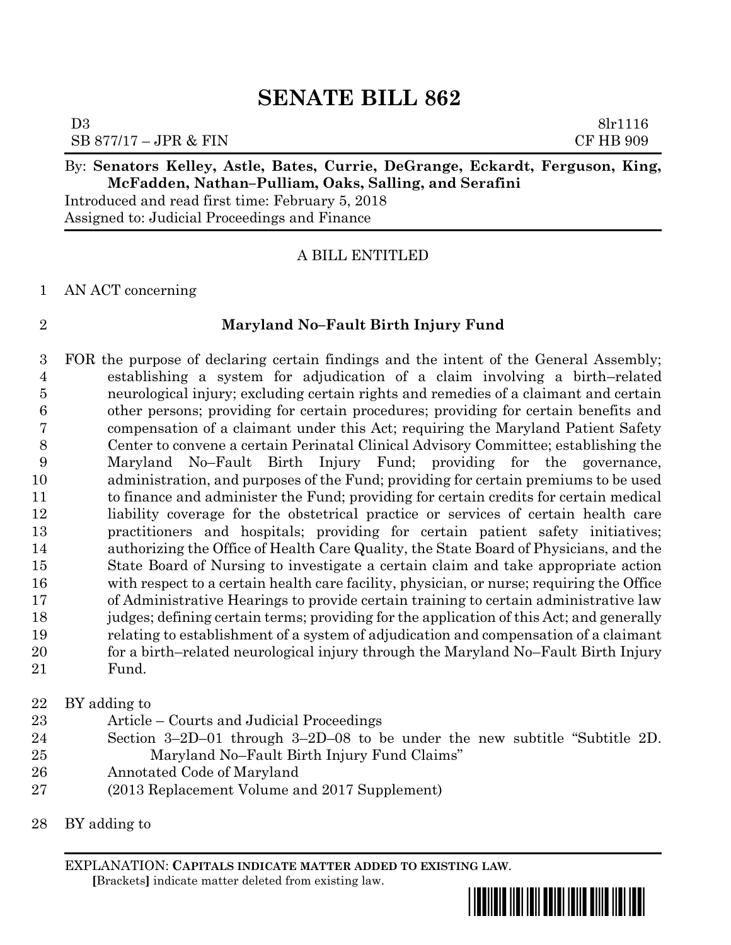D3 8lr1116 SB 877/17 – JPR & FIN CF HB 909

#### By: **Senators Kelley, Astle, Bates, Currie, DeGrange, Eckardt, Ferguson, King, McFadden, Nathan–Pulliam, Oaks, Salling, and Serafini**

Introduced and read first time: February 5, 2018 Assigned to: Judicial Proceedings and Finance

#### A BILL ENTITLED

#### AN ACT concerning

#### **Maryland No–Fault Birth Injury Fund**

 FOR the purpose of declaring certain findings and the intent of the General Assembly; establishing a system for adjudication of a claim involving a birth–related neurological injury; excluding certain rights and remedies of a claimant and certain other persons; providing for certain procedures; providing for certain benefits and compensation of a claimant under this Act; requiring the Maryland Patient Safety Center to convene a certain Perinatal Clinical Advisory Committee; establishing the Maryland No–Fault Birth Injury Fund; providing for the governance, administration, and purposes of the Fund; providing for certain premiums to be used to finance and administer the Fund; providing for certain credits for certain medical liability coverage for the obstetrical practice or services of certain health care practitioners and hospitals; providing for certain patient safety initiatives; authorizing the Office of Health Care Quality, the State Board of Physicians, and the State Board of Nursing to investigate a certain claim and take appropriate action with respect to a certain health care facility, physician, or nurse; requiring the Office of Administrative Hearings to provide certain training to certain administrative law judges; defining certain terms; providing for the application of this Act; and generally relating to establishment of a system of adjudication and compensation of a claimant for a birth–related neurological injury through the Maryland No–Fault Birth Injury Fund.

#### BY adding to

- Article Courts and Judicial Proceedings
- Section 3–2D–01 through 3–2D–08 to be under the new subtitle "Subtitle 2D. Maryland No–Fault Birth Injury Fund Claims"
- Annotated Code of Maryland
- (2013 Replacement Volume and 2017 Supplement)
- BY adding to

EXPLANATION: **CAPITALS INDICATE MATTER ADDED TO EXISTING LAW**.  **[**Brackets**]** indicate matter deleted from existing law.

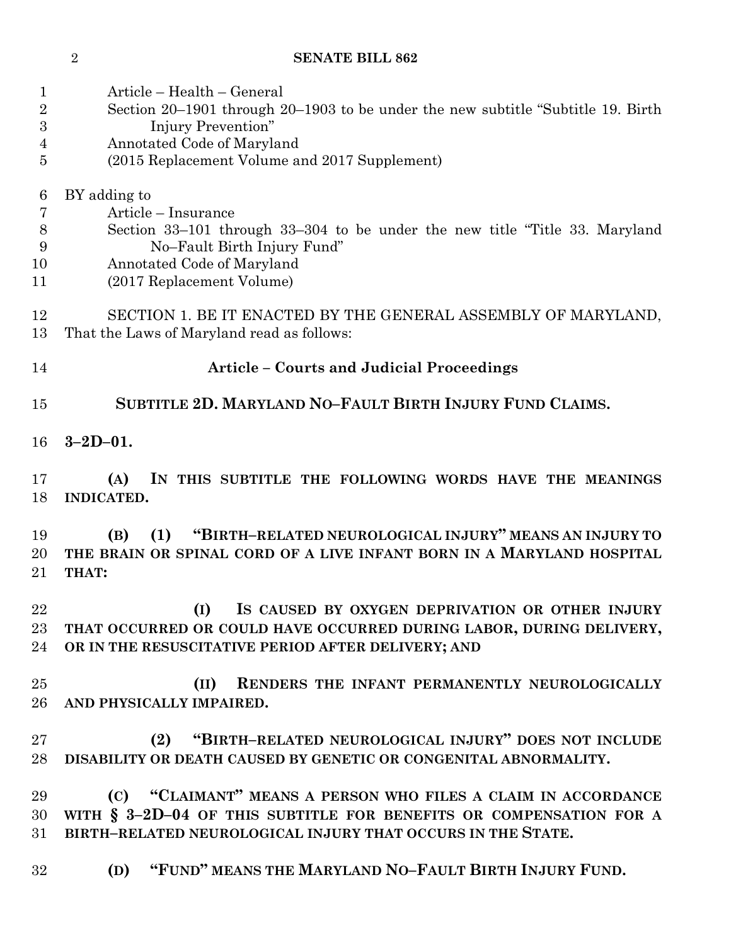| 1<br>$\overline{2}$<br>3<br>$\overline{4}$<br>5 | Article – Health – General<br>Section 20–1901 through 20–1903 to be under the new subtitle "Subtitle 19. Birth"<br>Injury Prevention"<br>Annotated Code of Maryland<br>(2015 Replacement Volume and 2017 Supplement) |
|-------------------------------------------------|----------------------------------------------------------------------------------------------------------------------------------------------------------------------------------------------------------------------|
| 6<br>7<br>8<br>9<br>10<br>11                    | BY adding to<br>Article – Insurance<br>Section 33–101 through 33–304 to be under the new title "Title 33. Maryland"<br>No-Fault Birth Injury Fund"<br>Annotated Code of Maryland<br>(2017 Replacement Volume)        |
| 12<br>13                                        | SECTION 1. BE IT ENACTED BY THE GENERAL ASSEMBLY OF MARYLAND,<br>That the Laws of Maryland read as follows:                                                                                                          |
| 14                                              | <b>Article – Courts and Judicial Proceedings</b>                                                                                                                                                                     |
| 15                                              | SUBTITLE 2D. MARYLAND NO-FAULT BIRTH INJURY FUND CLAIMS.                                                                                                                                                             |
| 16                                              | $3 - 2D - 01$ .                                                                                                                                                                                                      |
| 17<br>18                                        | IN THIS SUBTITLE THE FOLLOWING WORDS HAVE THE MEANINGS<br>(A)<br><b>INDICATED.</b>                                                                                                                                   |
| 19<br>20<br>21                                  | "BIRTH-RELATED NEUROLOGICAL INJURY" MEANS AN INJURY TO<br>(B)<br>(1)<br>THE BRAIN OR SPINAL CORD OF A LIVE INFANT BORN IN A MARYLAND HOSPITAL<br>THAT:                                                               |
| 22<br>23<br>24                                  | (I)<br>IS CAUSED BY OXYGEN DEPRIVATION OR OTHER INJURY<br>THAT OCCURRED OR COULD HAVE OCCURRED DURING LABOR, DURING DELIVERY,<br>OR IN THE RESUSCITATIVE PERIOD AFTER DELIVERY; AND                                  |
| 25<br>26                                        | (II) RENDERS THE INFANT PERMANENTLY NEUROLOGICALLY<br>AND PHYSICALLY IMPAIRED.                                                                                                                                       |
| 27<br>28                                        | "BIRTH-RELATED NEUROLOGICAL INJURY" DOES NOT INCLUDE<br>(2)<br>DISABILITY OR DEATH CAUSED BY GENETIC OR CONGENITAL ABNORMALITY.                                                                                      |
| 29<br>30<br>31                                  | (C) "CLAIMANT" MEANS A PERSON WHO FILES A CLAIM IN ACCORDANCE<br>WITH § 3-2D-04 OF THIS SUBTITLE FOR BENEFITS OR COMPENSATION FOR A<br>BIRTH-RELATED NEUROLOGICAL INJURY THAT OCCURS IN THE STATE.                   |
| 32                                              | "FUND" MEANS THE MARYLAND NO-FAULT BIRTH INJURY FUND.<br>(D)                                                                                                                                                         |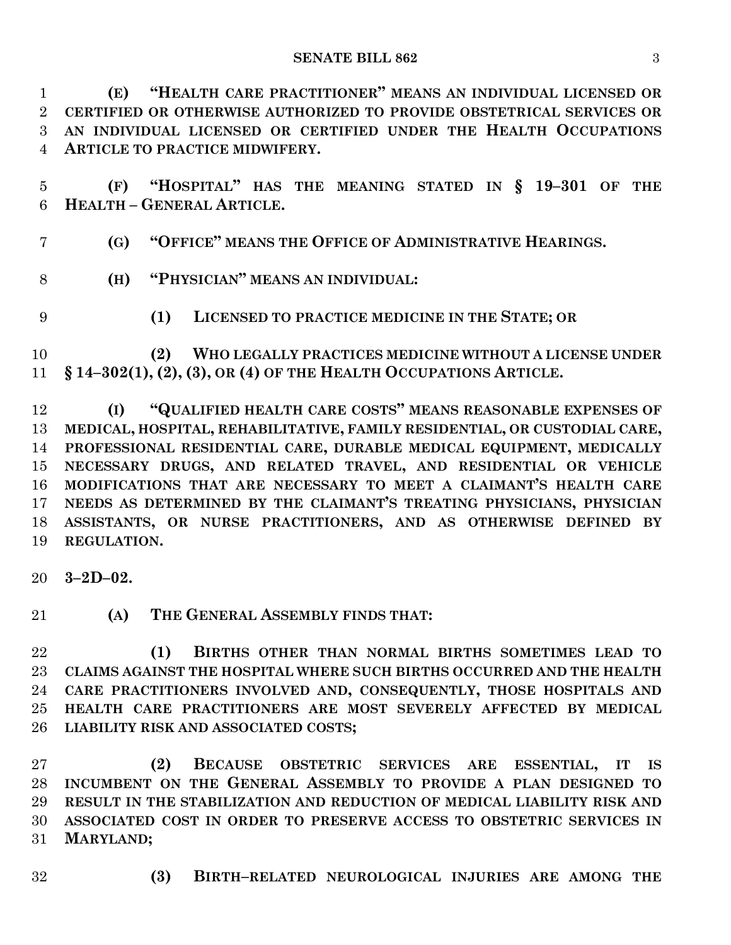**(E) "HEALTH CARE PRACTITIONER" MEANS AN INDIVIDUAL LICENSED OR CERTIFIED OR OTHERWISE AUTHORIZED TO PROVIDE OBSTETRICAL SERVICES OR AN INDIVIDUAL LICENSED OR CERTIFIED UNDER THE HEALTH OCCUPATIONS ARTICLE TO PRACTICE MIDWIFERY.**

 **(F) "HOSPITAL" HAS THE MEANING STATED IN § 19–301 OF THE HEALTH – GENERAL ARTICLE.**

**(G) "OFFICE" MEANS THE OFFICE OF ADMINISTRATIVE HEARINGS.**

- **(H) "PHYSICIAN" MEANS AN INDIVIDUAL:**
- 
- **(1) LICENSED TO PRACTICE MEDICINE IN THE STATE; OR**

 **(2) WHO LEGALLY PRACTICES MEDICINE WITHOUT A LICENSE UNDER § 14–302(1), (2), (3), OR (4) OF THE HEALTH OCCUPATIONS ARTICLE.**

 **(I) "QUALIFIED HEALTH CARE COSTS" MEANS REASONABLE EXPENSES OF MEDICAL, HOSPITAL, REHABILITATIVE, FAMILY RESIDENTIAL, OR CUSTODIAL CARE, PROFESSIONAL RESIDENTIAL CARE, DURABLE MEDICAL EQUIPMENT, MEDICALLY NECESSARY DRUGS, AND RELATED TRAVEL, AND RESIDENTIAL OR VEHICLE MODIFICATIONS THAT ARE NECESSARY TO MEET A CLAIMANT'S HEALTH CARE NEEDS AS DETERMINED BY THE CLAIMANT'S TREATING PHYSICIANS, PHYSICIAN ASSISTANTS, OR NURSE PRACTITIONERS, AND AS OTHERWISE DEFINED BY REGULATION.**

**3–2D–02.**

**(A) THE GENERAL ASSEMBLY FINDS THAT:**

 **(1) BIRTHS OTHER THAN NORMAL BIRTHS SOMETIMES LEAD TO CLAIMS AGAINST THE HOSPITAL WHERE SUCH BIRTHS OCCURRED AND THE HEALTH CARE PRACTITIONERS INVOLVED AND, CONSEQUENTLY, THOSE HOSPITALS AND HEALTH CARE PRACTITIONERS ARE MOST SEVERELY AFFECTED BY MEDICAL LIABILITY RISK AND ASSOCIATED COSTS;**

 **(2) BECAUSE OBSTETRIC SERVICES ARE ESSENTIAL, IT IS INCUMBENT ON THE GENERAL ASSEMBLY TO PROVIDE A PLAN DESIGNED TO RESULT IN THE STABILIZATION AND REDUCTION OF MEDICAL LIABILITY RISK AND ASSOCIATED COST IN ORDER TO PRESERVE ACCESS TO OBSTETRIC SERVICES IN MARYLAND;**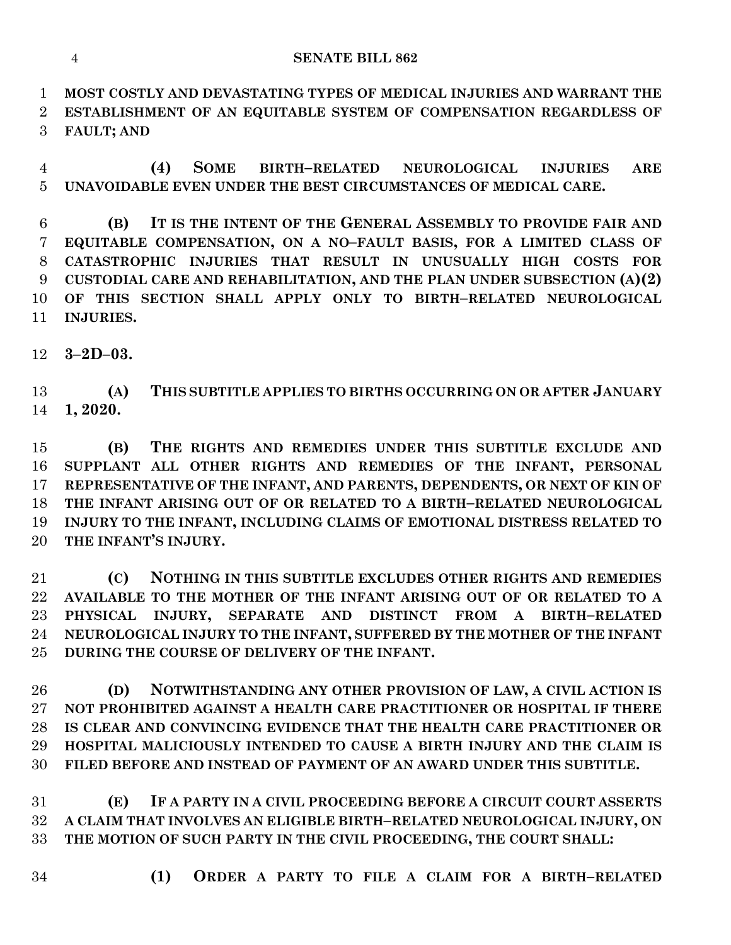**MOST COSTLY AND DEVASTATING TYPES OF MEDICAL INJURIES AND WARRANT THE ESTABLISHMENT OF AN EQUITABLE SYSTEM OF COMPENSATION REGARDLESS OF FAULT; AND**

 **(4) SOME BIRTH–RELATED NEUROLOGICAL INJURIES ARE UNAVOIDABLE EVEN UNDER THE BEST CIRCUMSTANCES OF MEDICAL CARE.**

 **(B) IT IS THE INTENT OF THE GENERAL ASSEMBLY TO PROVIDE FAIR AND EQUITABLE COMPENSATION, ON A NO–FAULT BASIS, FOR A LIMITED CLASS OF CATASTROPHIC INJURIES THAT RESULT IN UNUSUALLY HIGH COSTS FOR CUSTODIAL CARE AND REHABILITATION, AND THE PLAN UNDER SUBSECTION (A)(2) OF THIS SECTION SHALL APPLY ONLY TO BIRTH–RELATED NEUROLOGICAL INJURIES.**

**3–2D–03.**

 **(A) THIS SUBTITLE APPLIES TO BIRTHS OCCURRING ON OR AFTER JANUARY 1, 2020.**

 **(B) THE RIGHTS AND REMEDIES UNDER THIS SUBTITLE EXCLUDE AND SUPPLANT ALL OTHER RIGHTS AND REMEDIES OF THE INFANT, PERSONAL REPRESENTATIVE OF THE INFANT, AND PARENTS, DEPENDENTS, OR NEXT OF KIN OF THE INFANT ARISING OUT OF OR RELATED TO A BIRTH–RELATED NEUROLOGICAL INJURY TO THE INFANT, INCLUDING CLAIMS OF EMOTIONAL DISTRESS RELATED TO THE INFANT'S INJURY.**

 **(C) NOTHING IN THIS SUBTITLE EXCLUDES OTHER RIGHTS AND REMEDIES AVAILABLE TO THE MOTHER OF THE INFANT ARISING OUT OF OR RELATED TO A PHYSICAL INJURY, SEPARATE AND DISTINCT FROM A BIRTH–RELATED NEUROLOGICAL INJURY TO THE INFANT, SUFFERED BY THE MOTHER OF THE INFANT DURING THE COURSE OF DELIVERY OF THE INFANT.**

 **(D) NOTWITHSTANDING ANY OTHER PROVISION OF LAW, A CIVIL ACTION IS NOT PROHIBITED AGAINST A HEALTH CARE PRACTITIONER OR HOSPITAL IF THERE IS CLEAR AND CONVINCING EVIDENCE THAT THE HEALTH CARE PRACTITIONER OR HOSPITAL MALICIOUSLY INTENDED TO CAUSE A BIRTH INJURY AND THE CLAIM IS FILED BEFORE AND INSTEAD OF PAYMENT OF AN AWARD UNDER THIS SUBTITLE.**

 **(E) IF A PARTY IN A CIVIL PROCEEDING BEFORE A CIRCUIT COURT ASSERTS A CLAIM THAT INVOLVES AN ELIGIBLE BIRTH–RELATED NEUROLOGICAL INJURY, ON THE MOTION OF SUCH PARTY IN THE CIVIL PROCEEDING, THE COURT SHALL:**

- 
- **(1) ORDER A PARTY TO FILE A CLAIM FOR A BIRTH–RELATED**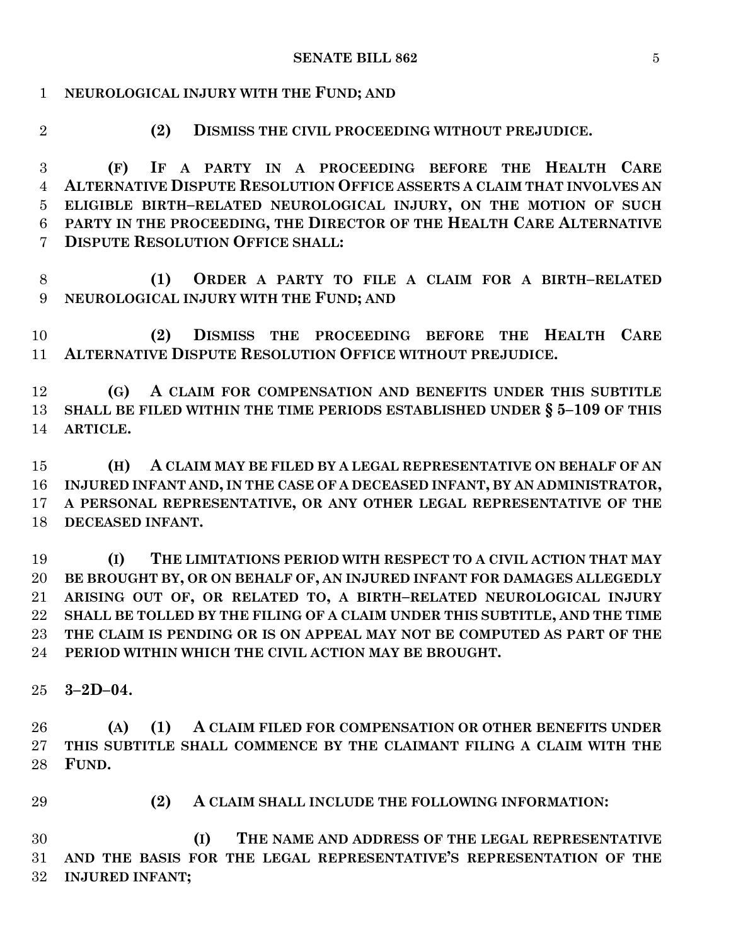## **NEUROLOGICAL INJURY WITH THE FUND; AND**

- 
- **(2) DISMISS THE CIVIL PROCEEDING WITHOUT PREJUDICE.**

 **(F) IF A PARTY IN A PROCEEDING BEFORE THE HEALTH CARE ALTERNATIVE DISPUTE RESOLUTION OFFICE ASSERTS A CLAIM THAT INVOLVES AN ELIGIBLE BIRTH–RELATED NEUROLOGICAL INJURY, ON THE MOTION OF SUCH PARTY IN THE PROCEEDING, THE DIRECTOR OF THE HEALTH CARE ALTERNATIVE DISPUTE RESOLUTION OFFICE SHALL:**

 **(1) ORDER A PARTY TO FILE A CLAIM FOR A BIRTH–RELATED NEUROLOGICAL INJURY WITH THE FUND; AND**

 **(2) DISMISS THE PROCEEDING BEFORE THE HEALTH CARE ALTERNATIVE DISPUTE RESOLUTION OFFICE WITHOUT PREJUDICE.**

 **(G) A CLAIM FOR COMPENSATION AND BENEFITS UNDER THIS SUBTITLE SHALL BE FILED WITHIN THE TIME PERIODS ESTABLISHED UNDER § 5–109 OF THIS ARTICLE.**

 **(H) A CLAIM MAY BE FILED BY A LEGAL REPRESENTATIVE ON BEHALF OF AN INJURED INFANT AND, IN THE CASE OF A DECEASED INFANT, BY AN ADMINISTRATOR, A PERSONAL REPRESENTATIVE, OR ANY OTHER LEGAL REPRESENTATIVE OF THE DECEASED INFANT.**

 **(I) THE LIMITATIONS PERIOD WITH RESPECT TO A CIVIL ACTION THAT MAY BE BROUGHT BY, OR ON BEHALF OF, AN INJURED INFANT FOR DAMAGES ALLEGEDLY ARISING OUT OF, OR RELATED TO, A BIRTH–RELATED NEUROLOGICAL INJURY SHALL BE TOLLED BY THE FILING OF A CLAIM UNDER THIS SUBTITLE, AND THE TIME THE CLAIM IS PENDING OR IS ON APPEAL MAY NOT BE COMPUTED AS PART OF THE PERIOD WITHIN WHICH THE CIVIL ACTION MAY BE BROUGHT.**

**3–2D–04.**

 **(A) (1) A CLAIM FILED FOR COMPENSATION OR OTHER BENEFITS UNDER THIS SUBTITLE SHALL COMMENCE BY THE CLAIMANT FILING A CLAIM WITH THE FUND.**

**(2) A CLAIM SHALL INCLUDE THE FOLLOWING INFORMATION:**

 **(I) THE NAME AND ADDRESS OF THE LEGAL REPRESENTATIVE AND THE BASIS FOR THE LEGAL REPRESENTATIVE'S REPRESENTATION OF THE INJURED INFANT;**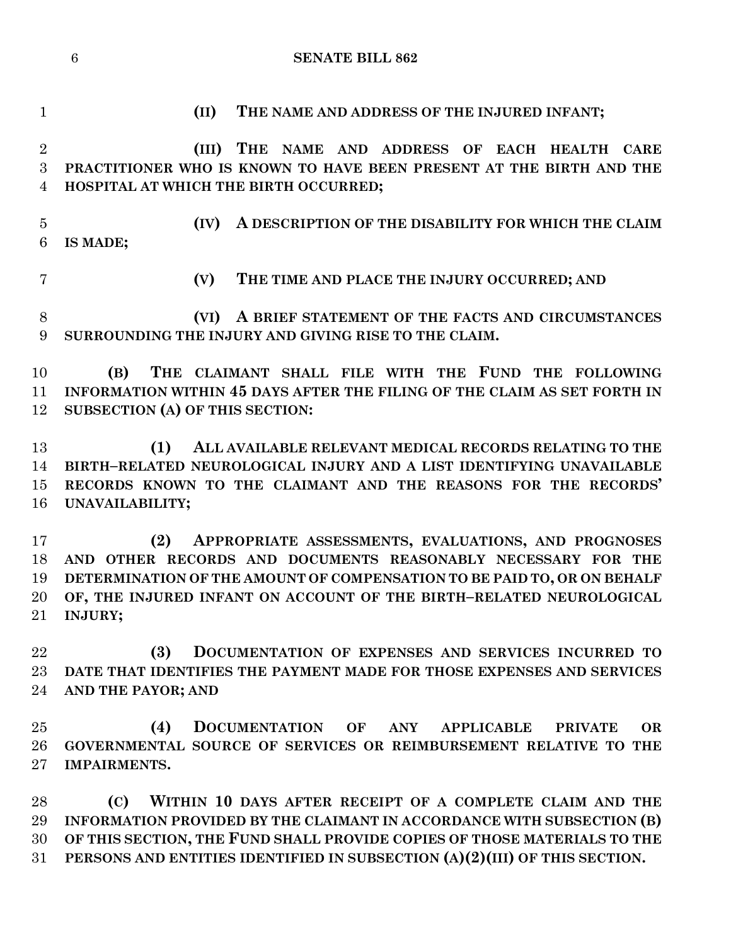**(III) THE NAME AND ADDRESS OF EACH HEALTH CARE PRACTITIONER WHO IS KNOWN TO HAVE BEEN PRESENT AT THE BIRTH AND THE** 

**(II) THE NAME AND ADDRESS OF THE INJURED INFANT;**

 **(IV) A DESCRIPTION OF THE DISABILITY FOR WHICH THE CLAIM IS MADE; (V) THE TIME AND PLACE THE INJURY OCCURRED; AND (VI) A BRIEF STATEMENT OF THE FACTS AND CIRCUMSTANCES SURROUNDING THE INJURY AND GIVING RISE TO THE CLAIM. SUBSECTION (A) OF THIS SECTION:**

**HOSPITAL AT WHICH THE BIRTH OCCURRED;**

- **(B) THE CLAIMANT SHALL FILE WITH THE FUND THE FOLLOWING INFORMATION WITHIN 45 DAYS AFTER THE FILING OF THE CLAIM AS SET FORTH IN**
- **(1) ALL AVAILABLE RELEVANT MEDICAL RECORDS RELATING TO THE BIRTH–RELATED NEUROLOGICAL INJURY AND A LIST IDENTIFYING UNAVAILABLE RECORDS KNOWN TO THE CLAIMANT AND THE REASONS FOR THE RECORDS' UNAVAILABILITY;**

 **(2) APPROPRIATE ASSESSMENTS, EVALUATIONS, AND PROGNOSES AND OTHER RECORDS AND DOCUMENTS REASONABLY NECESSARY FOR THE DETERMINATION OF THE AMOUNT OF COMPENSATION TO BE PAID TO, OR ON BEHALF OF, THE INJURED INFANT ON ACCOUNT OF THE BIRTH–RELATED NEUROLOGICAL INJURY;**

 **(3) DOCUMENTATION OF EXPENSES AND SERVICES INCURRED TO DATE THAT IDENTIFIES THE PAYMENT MADE FOR THOSE EXPENSES AND SERVICES AND THE PAYOR; AND**

 **(4) DOCUMENTATION OF ANY APPLICABLE PRIVATE OR GOVERNMENTAL SOURCE OF SERVICES OR REIMBURSEMENT RELATIVE TO THE IMPAIRMENTS.**

 **(C) WITHIN 10 DAYS AFTER RECEIPT OF A COMPLETE CLAIM AND THE INFORMATION PROVIDED BY THE CLAIMANT IN ACCORDANCE WITH SUBSECTION (B) OF THIS SECTION, THE FUND SHALL PROVIDE COPIES OF THOSE MATERIALS TO THE PERSONS AND ENTITIES IDENTIFIED IN SUBSECTION (A)(2)(III) OF THIS SECTION.**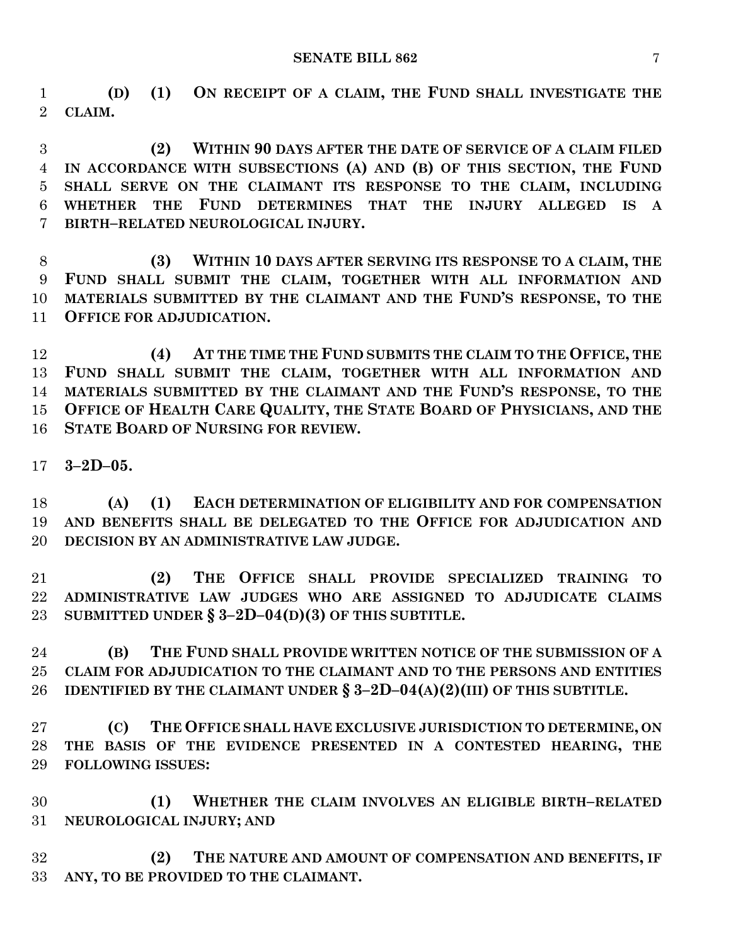#### **SENATE BILL 862** 7

 **(D) (1) ON RECEIPT OF A CLAIM, THE FUND SHALL INVESTIGATE THE CLAIM.**

 **(2) WITHIN 90 DAYS AFTER THE DATE OF SERVICE OF A CLAIM FILED IN ACCORDANCE WITH SUBSECTIONS (A) AND (B) OF THIS SECTION, THE FUND SHALL SERVE ON THE CLAIMANT ITS RESPONSE TO THE CLAIM, INCLUDING WHETHER THE FUND DETERMINES THAT THE INJURY ALLEGED IS A BIRTH–RELATED NEUROLOGICAL INJURY.**

 **(3) WITHIN 10 DAYS AFTER SERVING ITS RESPONSE TO A CLAIM, THE FUND SHALL SUBMIT THE CLAIM, TOGETHER WITH ALL INFORMATION AND MATERIALS SUBMITTED BY THE CLAIMANT AND THE FUND'S RESPONSE, TO THE OFFICE FOR ADJUDICATION.**

 **(4) AT THE TIME THE FUND SUBMITS THE CLAIM TO THE OFFICE, THE FUND SHALL SUBMIT THE CLAIM, TOGETHER WITH ALL INFORMATION AND MATERIALS SUBMITTED BY THE CLAIMANT AND THE FUND'S RESPONSE, TO THE OFFICE OF HEALTH CARE QUALITY, THE STATE BOARD OF PHYSICIANS, AND THE STATE BOARD OF NURSING FOR REVIEW.**

**3–2D–05.**

 **(A) (1) EACH DETERMINATION OF ELIGIBILITY AND FOR COMPENSATION AND BENEFITS SHALL BE DELEGATED TO THE OFFICE FOR ADJUDICATION AND DECISION BY AN ADMINISTRATIVE LAW JUDGE.**

 **(2) THE OFFICE SHALL PROVIDE SPECIALIZED TRAINING TO ADMINISTRATIVE LAW JUDGES WHO ARE ASSIGNED TO ADJUDICATE CLAIMS SUBMITTED UNDER § 3–2D–04(D)(3) OF THIS SUBTITLE.**

 **(B) THE FUND SHALL PROVIDE WRITTEN NOTICE OF THE SUBMISSION OF A CLAIM FOR ADJUDICATION TO THE CLAIMANT AND TO THE PERSONS AND ENTITIES IDENTIFIED BY THE CLAIMANT UNDER § 3–2D–04(A)(2)(III) OF THIS SUBTITLE.**

 **(C) THE OFFICE SHALL HAVE EXCLUSIVE JURISDICTION TO DETERMINE, ON THE BASIS OF THE EVIDENCE PRESENTED IN A CONTESTED HEARING, THE FOLLOWING ISSUES:**

 **(1) WHETHER THE CLAIM INVOLVES AN ELIGIBLE BIRTH–RELATED NEUROLOGICAL INJURY; AND**

 **(2) THE NATURE AND AMOUNT OF COMPENSATION AND BENEFITS, IF ANY, TO BE PROVIDED TO THE CLAIMANT.**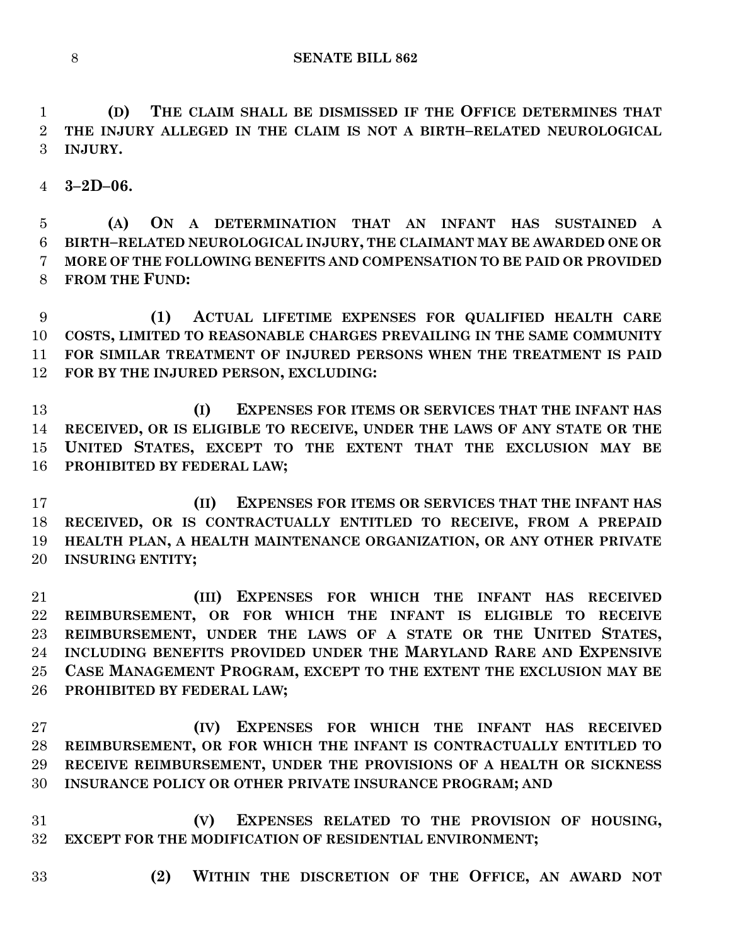**(D) THE CLAIM SHALL BE DISMISSED IF THE OFFICE DETERMINES THAT THE INJURY ALLEGED IN THE CLAIM IS NOT A BIRTH–RELATED NEUROLOGICAL INJURY.**

**3–2D–06.**

 **(A) ON A DETERMINATION THAT AN INFANT HAS SUSTAINED A BIRTH–RELATED NEUROLOGICAL INJURY, THE CLAIMANT MAY BE AWARDED ONE OR MORE OF THE FOLLOWING BENEFITS AND COMPENSATION TO BE PAID OR PROVIDED FROM THE FUND:**

 **(1) ACTUAL LIFETIME EXPENSES FOR QUALIFIED HEALTH CARE COSTS, LIMITED TO REASONABLE CHARGES PREVAILING IN THE SAME COMMUNITY FOR SIMILAR TREATMENT OF INJURED PERSONS WHEN THE TREATMENT IS PAID FOR BY THE INJURED PERSON, EXCLUDING:**

 **(I) EXPENSES FOR ITEMS OR SERVICES THAT THE INFANT HAS RECEIVED, OR IS ELIGIBLE TO RECEIVE, UNDER THE LAWS OF ANY STATE OR THE UNITED STATES, EXCEPT TO THE EXTENT THAT THE EXCLUSION MAY BE PROHIBITED BY FEDERAL LAW;**

 **(II) EXPENSES FOR ITEMS OR SERVICES THAT THE INFANT HAS RECEIVED, OR IS CONTRACTUALLY ENTITLED TO RECEIVE, FROM A PREPAID HEALTH PLAN, A HEALTH MAINTENANCE ORGANIZATION, OR ANY OTHER PRIVATE INSURING ENTITY;**

 **(III) EXPENSES FOR WHICH THE INFANT HAS RECEIVED REIMBURSEMENT, OR FOR WHICH THE INFANT IS ELIGIBLE TO RECEIVE REIMBURSEMENT, UNDER THE LAWS OF A STATE OR THE UNITED STATES, INCLUDING BENEFITS PROVIDED UNDER THE MARYLAND RARE AND EXPENSIVE CASE MANAGEMENT PROGRAM, EXCEPT TO THE EXTENT THE EXCLUSION MAY BE PROHIBITED BY FEDERAL LAW;**

 **(IV) EXPENSES FOR WHICH THE INFANT HAS RECEIVED REIMBURSEMENT, OR FOR WHICH THE INFANT IS CONTRACTUALLY ENTITLED TO RECEIVE REIMBURSEMENT, UNDER THE PROVISIONS OF A HEALTH OR SICKNESS INSURANCE POLICY OR OTHER PRIVATE INSURANCE PROGRAM; AND**

 **(V) EXPENSES RELATED TO THE PROVISION OF HOUSING, EXCEPT FOR THE MODIFICATION OF RESIDENTIAL ENVIRONMENT;**

- 
- **(2) WITHIN THE DISCRETION OF THE OFFICE, AN AWARD NOT**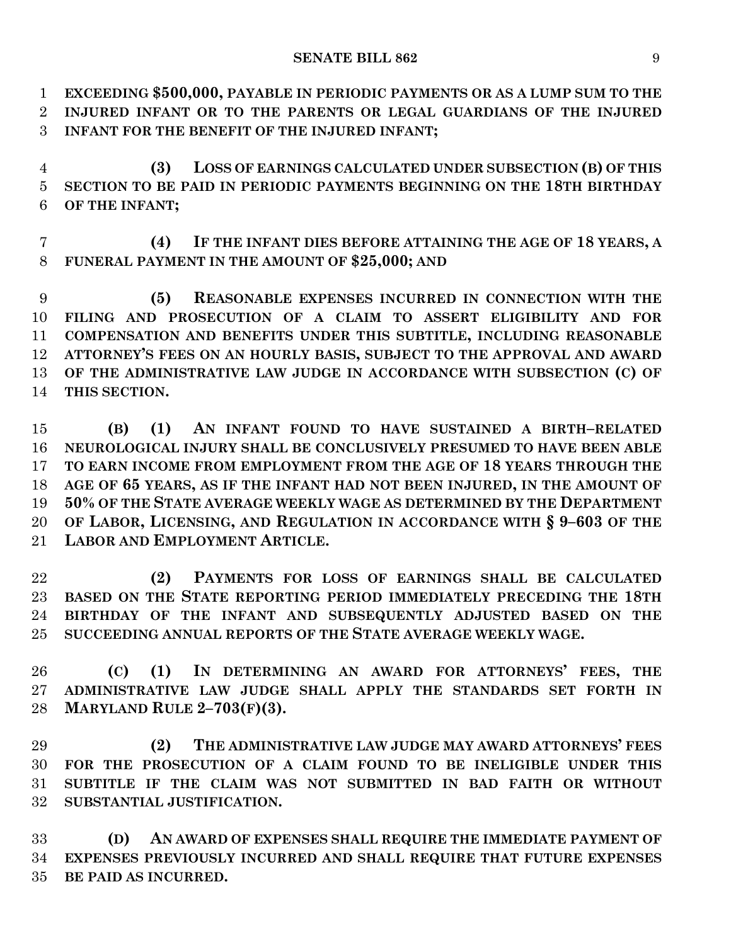**EXCEEDING \$500,000, PAYABLE IN PERIODIC PAYMENTS OR AS A LUMP SUM TO THE INJURED INFANT OR TO THE PARENTS OR LEGAL GUARDIANS OF THE INJURED INFANT FOR THE BENEFIT OF THE INJURED INFANT;**

 **(3) LOSS OF EARNINGS CALCULATED UNDER SUBSECTION (B) OF THIS SECTION TO BE PAID IN PERIODIC PAYMENTS BEGINNING ON THE 18TH BIRTHDAY OF THE INFANT;**

 **(4) IF THE INFANT DIES BEFORE ATTAINING THE AGE OF 18 YEARS, A FUNERAL PAYMENT IN THE AMOUNT OF \$25,000; AND**

 **(5) REASONABLE EXPENSES INCURRED IN CONNECTION WITH THE FILING AND PROSECUTION OF A CLAIM TO ASSERT ELIGIBILITY AND FOR COMPENSATION AND BENEFITS UNDER THIS SUBTITLE, INCLUDING REASONABLE ATTORNEY'S FEES ON AN HOURLY BASIS, SUBJECT TO THE APPROVAL AND AWARD OF THE ADMINISTRATIVE LAW JUDGE IN ACCORDANCE WITH SUBSECTION (C) OF THIS SECTION.**

 **(B) (1) AN INFANT FOUND TO HAVE SUSTAINED A BIRTH–RELATED NEUROLOGICAL INJURY SHALL BE CONCLUSIVELY PRESUMED TO HAVE BEEN ABLE TO EARN INCOME FROM EMPLOYMENT FROM THE AGE OF 18 YEARS THROUGH THE AGE OF 65 YEARS, AS IF THE INFANT HAD NOT BEEN INJURED, IN THE AMOUNT OF 50% OF THE STATE AVERAGE WEEKLY WAGE AS DETERMINED BY THE DEPARTMENT OF LABOR, LICENSING, AND REGULATION IN ACCORDANCE WITH § 9–603 OF THE LABOR AND EMPLOYMENT ARTICLE.**

 **(2) PAYMENTS FOR LOSS OF EARNINGS SHALL BE CALCULATED BASED ON THE STATE REPORTING PERIOD IMMEDIATELY PRECEDING THE 18TH BIRTHDAY OF THE INFANT AND SUBSEQUENTLY ADJUSTED BASED ON THE SUCCEEDING ANNUAL REPORTS OF THE STATE AVERAGE WEEKLY WAGE.**

 **(C) (1) IN DETERMINING AN AWARD FOR ATTORNEYS' FEES, THE ADMINISTRATIVE LAW JUDGE SHALL APPLY THE STANDARDS SET FORTH IN MARYLAND RULE 2–703(F)(3).**

 **(2) THE ADMINISTRATIVE LAW JUDGE MAY AWARD ATTORNEYS' FEES FOR THE PROSECUTION OF A CLAIM FOUND TO BE INELIGIBLE UNDER THIS SUBTITLE IF THE CLAIM WAS NOT SUBMITTED IN BAD FAITH OR WITHOUT SUBSTANTIAL JUSTIFICATION.**

 **(D) AN AWARD OF EXPENSES SHALL REQUIRE THE IMMEDIATE PAYMENT OF EXPENSES PREVIOUSLY INCURRED AND SHALL REQUIRE THAT FUTURE EXPENSES BE PAID AS INCURRED.**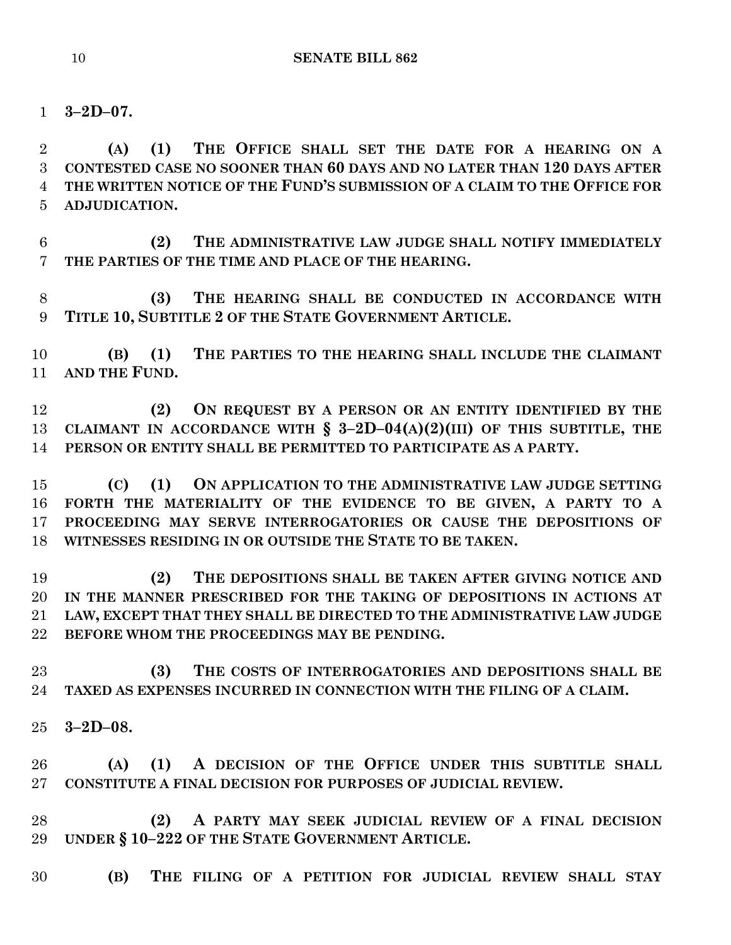**3–2D–07.**

 **(A) (1) THE OFFICE SHALL SET THE DATE FOR A HEARING ON A CONTESTED CASE NO SOONER THAN 60 DAYS AND NO LATER THAN 120 DAYS AFTER THE WRITTEN NOTICE OF THE FUND'S SUBMISSION OF A CLAIM TO THE OFFICE FOR ADJUDICATION.**

 **(2) THE ADMINISTRATIVE LAW JUDGE SHALL NOTIFY IMMEDIATELY THE PARTIES OF THE TIME AND PLACE OF THE HEARING.**

 **(3) THE HEARING SHALL BE CONDUCTED IN ACCORDANCE WITH TITLE 10, SUBTITLE 2 OF THE STATE GOVERNMENT ARTICLE.**

 **(B) (1) THE PARTIES TO THE HEARING SHALL INCLUDE THE CLAIMANT AND THE FUND.**

 **(2) ON REQUEST BY A PERSON OR AN ENTITY IDENTIFIED BY THE CLAIMANT IN ACCORDANCE WITH § 3–2D–04(A)(2)(III) OF THIS SUBTITLE, THE PERSON OR ENTITY SHALL BE PERMITTED TO PARTICIPATE AS A PARTY.**

 **(C) (1) ON APPLICATION TO THE ADMINISTRATIVE LAW JUDGE SETTING FORTH THE MATERIALITY OF THE EVIDENCE TO BE GIVEN, A PARTY TO A PROCEEDING MAY SERVE INTERROGATORIES OR CAUSE THE DEPOSITIONS OF WITNESSES RESIDING IN OR OUTSIDE THE STATE TO BE TAKEN.**

 **(2) THE DEPOSITIONS SHALL BE TAKEN AFTER GIVING NOTICE AND IN THE MANNER PRESCRIBED FOR THE TAKING OF DEPOSITIONS IN ACTIONS AT LAW, EXCEPT THAT THEY SHALL BE DIRECTED TO THE ADMINISTRATIVE LAW JUDGE BEFORE WHOM THE PROCEEDINGS MAY BE PENDING.**

 **(3) THE COSTS OF INTERROGATORIES AND DEPOSITIONS SHALL BE TAXED AS EXPENSES INCURRED IN CONNECTION WITH THE FILING OF A CLAIM.**

**3–2D–08.**

 **(A) (1) A DECISION OF THE OFFICE UNDER THIS SUBTITLE SHALL CONSTITUTE A FINAL DECISION FOR PURPOSES OF JUDICIAL REVIEW.**

 **(2) A PARTY MAY SEEK JUDICIAL REVIEW OF A FINAL DECISION UNDER § 10–222 OF THE STATE GOVERNMENT ARTICLE.**

**(B) THE FILING OF A PETITION FOR JUDICIAL REVIEW SHALL STAY**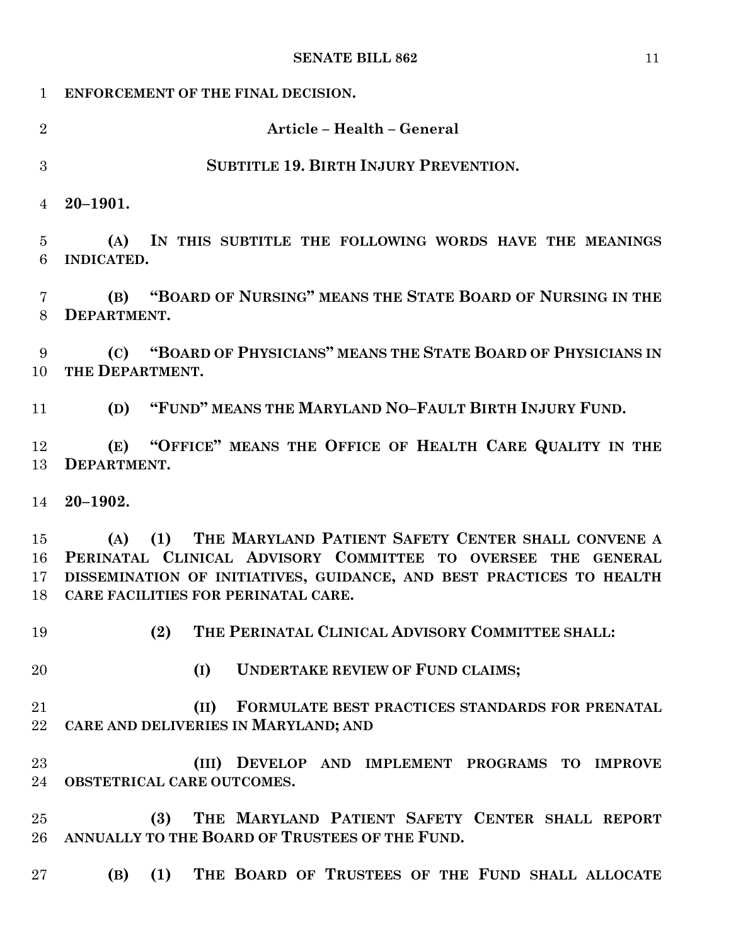| $\mathbf{1}$                          | ENFORCEMENT OF THE FINAL DECISION.                                                                                                                                                                                                                  |
|---------------------------------------|-----------------------------------------------------------------------------------------------------------------------------------------------------------------------------------------------------------------------------------------------------|
| $\overline{2}$                        | Article - Health - General                                                                                                                                                                                                                          |
| 3                                     | <b>SUBTITLE 19. BIRTH INJURY PREVENTION.</b>                                                                                                                                                                                                        |
| $\overline{4}$                        | $20 - 1901.$                                                                                                                                                                                                                                        |
| $\overline{5}$<br>6                   | (A)<br>IN THIS SUBTITLE THE FOLLOWING WORDS HAVE THE MEANINGS<br>INDICATED.                                                                                                                                                                         |
| 7<br>8                                | (B) "BOARD OF NURSING" MEANS THE STATE BOARD OF NURSING IN THE<br>DEPARTMENT.                                                                                                                                                                       |
| 9<br>10                               | (C) "BOARD OF PHYSICIANS" MEANS THE STATE BOARD OF PHYSICIANS IN<br>THE DEPARTMENT.                                                                                                                                                                 |
| 11                                    | (D) "FUND" MEANS THE MARYLAND NO-FAULT BIRTH INJURY FUND.                                                                                                                                                                                           |
| 12<br>13                              | (E) "OFFICE" MEANS THE OFFICE OF HEALTH CARE QUALITY IN THE<br>DEPARTMENT.                                                                                                                                                                          |
| 14                                    | $20 - 1902.$                                                                                                                                                                                                                                        |
| $15\,$<br>16<br>17 <sub>1</sub><br>18 | (A) (1) THE MARYLAND PATIENT SAFETY CENTER SHALL CONVENE A<br>PERINATAL CLINICAL ADVISORY COMMITTEE TO OVERSEE THE<br><b>GENERAL</b><br>DISSEMINATION OF INITIATIVES, GUIDANCE, AND BEST PRACTICES TO HEALTH<br>CARE FACILITIES FOR PERINATAL CARE. |
| 19                                    | (2) THE PERINATAL CLINICAL ADVISORY COMMITTEE SHALL:                                                                                                                                                                                                |
| 20                                    | <b>UNDERTAKE REVIEW OF FUND CLAIMS;</b><br>(I)                                                                                                                                                                                                      |
| 21<br>22                              | (II)<br>FORMULATE BEST PRACTICES STANDARDS FOR PRENATAL<br>CARE AND DELIVERIES IN MARYLAND; AND                                                                                                                                                     |
| 23<br>24                              | (III) DEVELOP AND IMPLEMENT PROGRAMS TO IMPROVE<br>OBSTETRICAL CARE OUTCOMES.                                                                                                                                                                       |
| 25<br>26                              | THE MARYLAND PATIENT SAFETY CENTER SHALL REPORT<br>(3)<br>ANNUALLY TO THE BOARD OF TRUSTEES OF THE FUND.                                                                                                                                            |
| 27                                    | (1) THE BOARD OF TRUSTEES OF THE FUND SHALL ALLOCATE<br>(B)                                                                                                                                                                                         |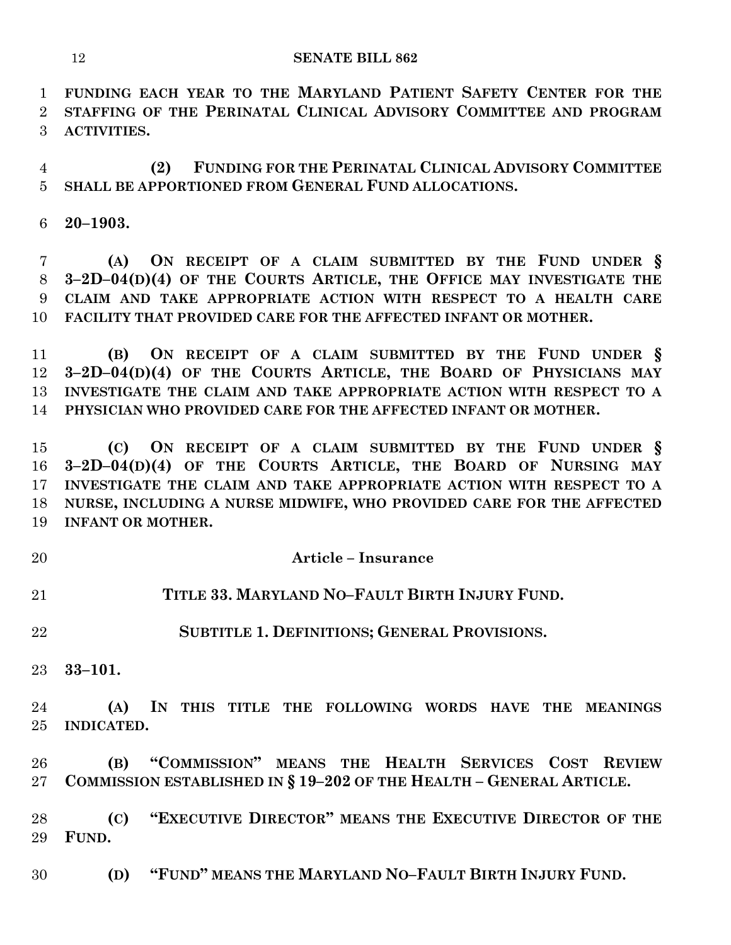**FUNDING EACH YEAR TO THE MARYLAND PATIENT SAFETY CENTER FOR THE STAFFING OF THE PERINATAL CLINICAL ADVISORY COMMITTEE AND PROGRAM ACTIVITIES.**

 **(2) FUNDING FOR THE PERINATAL CLINICAL ADVISORY COMMITTEE SHALL BE APPORTIONED FROM GENERAL FUND ALLOCATIONS.**

**20–1903.**

 **(A) ON RECEIPT OF A CLAIM SUBMITTED BY THE FUND UNDER § 3–2D–04(D)(4) OF THE COURTS ARTICLE, THE OFFICE MAY INVESTIGATE THE CLAIM AND TAKE APPROPRIATE ACTION WITH RESPECT TO A HEALTH CARE FACILITY THAT PROVIDED CARE FOR THE AFFECTED INFANT OR MOTHER.**

 **(B) ON RECEIPT OF A CLAIM SUBMITTED BY THE FUND UNDER § 3–2D–04(D)(4) OF THE COURTS ARTICLE, THE BOARD OF PHYSICIANS MAY INVESTIGATE THE CLAIM AND TAKE APPROPRIATE ACTION WITH RESPECT TO A PHYSICIAN WHO PROVIDED CARE FOR THE AFFECTED INFANT OR MOTHER.**

 **(C) ON RECEIPT OF A CLAIM SUBMITTED BY THE FUND UNDER § 3–2D–04(D)(4) OF THE COURTS ARTICLE, THE BOARD OF NURSING MAY INVESTIGATE THE CLAIM AND TAKE APPROPRIATE ACTION WITH RESPECT TO A NURSE, INCLUDING A NURSE MIDWIFE, WHO PROVIDED CARE FOR THE AFFECTED INFANT OR MOTHER.**

- **Article – Insurance**
- **TITLE 33. MARYLAND NO–FAULT BIRTH INJURY FUND.**
- **SUBTITLE 1. DEFINITIONS; GENERAL PROVISIONS.**
- **33–101.**

 **(A) IN THIS TITLE THE FOLLOWING WORDS HAVE THE MEANINGS INDICATED.**

 **(B) "COMMISSION" MEANS THE HEALTH SERVICES COST REVIEW COMMISSION ESTABLISHED IN § 19–202 OF THE HEALTH – GENERAL ARTICLE.**

 **(C) "EXECUTIVE DIRECTOR" MEANS THE EXECUTIVE DIRECTOR OF THE FUND.**

**(D) "FUND" MEANS THE MARYLAND NO–FAULT BIRTH INJURY FUND.**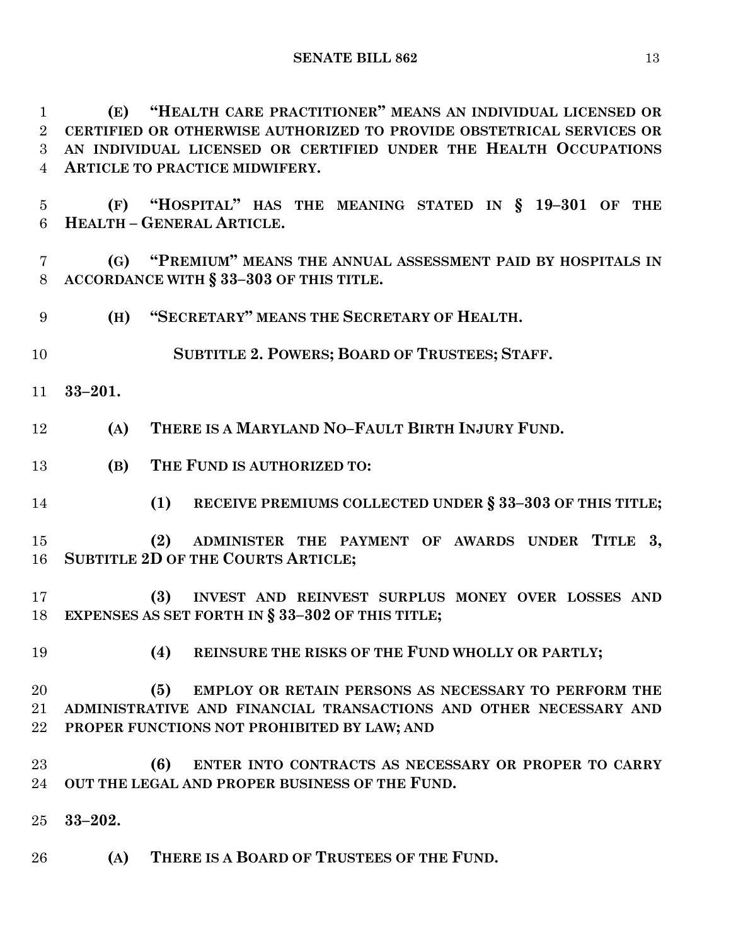**SENATE BILL 862** 13

 **(E) "HEALTH CARE PRACTITIONER" MEANS AN INDIVIDUAL LICENSED OR CERTIFIED OR OTHERWISE AUTHORIZED TO PROVIDE OBSTETRICAL SERVICES OR AN INDIVIDUAL LICENSED OR CERTIFIED UNDER THE HEALTH OCCUPATIONS ARTICLE TO PRACTICE MIDWIFERY.**

 **(F) "HOSPITAL" HAS THE MEANING STATED IN § 19–301 OF THE HEALTH – GENERAL ARTICLE.**

 **(G) "PREMIUM" MEANS THE ANNUAL ASSESSMENT PAID BY HOSPITALS IN ACCORDANCE WITH § 33–303 OF THIS TITLE.**

**(H) "SECRETARY" MEANS THE SECRETARY OF HEALTH.**

**SUBTITLE 2. POWERS; BOARD OF TRUSTEES; STAFF.**

**33–201.**

**(A) THERE IS A MARYLAND NO–FAULT BIRTH INJURY FUND.**

- **(B) THE FUND IS AUTHORIZED TO:**
- **(1) RECEIVE PREMIUMS COLLECTED UNDER § 33–303 OF THIS TITLE;**

 **(2) ADMINISTER THE PAYMENT OF AWARDS UNDER TITLE 3, SUBTITLE 2D OF THE COURTS ARTICLE;**

 **(3) INVEST AND REINVEST SURPLUS MONEY OVER LOSSES AND EXPENSES AS SET FORTH IN § 33–302 OF THIS TITLE;**

**(4) REINSURE THE RISKS OF THE FUND WHOLLY OR PARTLY;**

 **(5) EMPLOY OR RETAIN PERSONS AS NECESSARY TO PERFORM THE ADMINISTRATIVE AND FINANCIAL TRANSACTIONS AND OTHER NECESSARY AND PROPER FUNCTIONS NOT PROHIBITED BY LAW; AND**

 **(6) ENTER INTO CONTRACTS AS NECESSARY OR PROPER TO CARRY OUT THE LEGAL AND PROPER BUSINESS OF THE FUND.**

**33–202.**

**(A) THERE IS A BOARD OF TRUSTEES OF THE FUND.**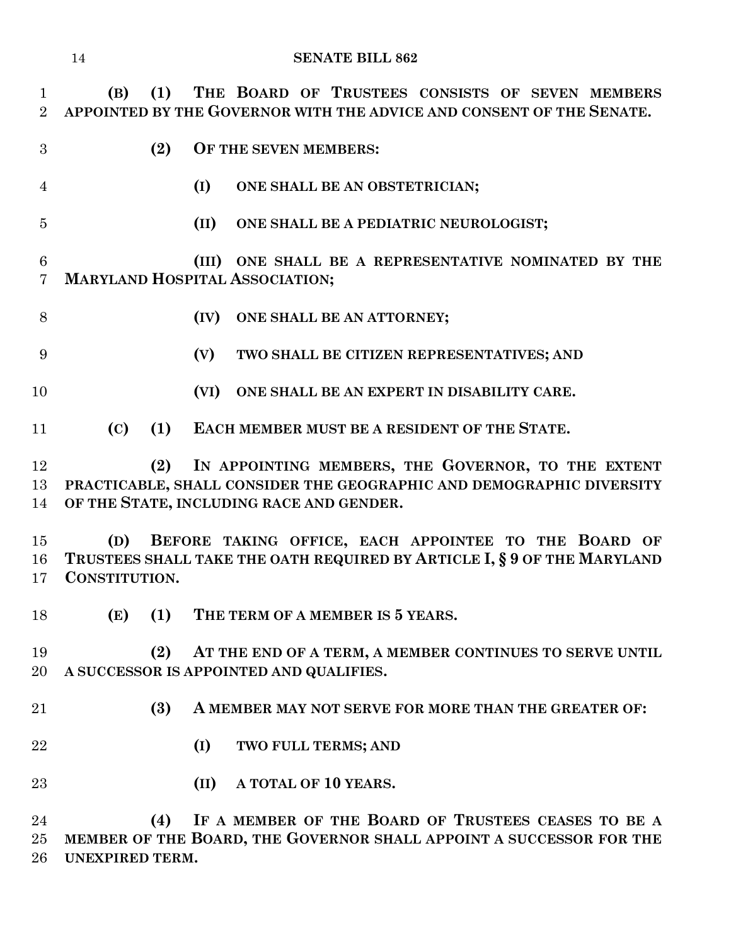**(B) (1) THE BOARD OF TRUSTEES CONSISTS OF SEVEN MEMBERS APPOINTED BY THE GOVERNOR WITH THE ADVICE AND CONSENT OF THE SENATE.**

- 
- **(2) OF THE SEVEN MEMBERS:**
- **(I) ONE SHALL BE AN OBSTETRICIAN;**
- 

**(II) ONE SHALL BE A PEDIATRIC NEUROLOGIST;**

 **(III) ONE SHALL BE A REPRESENTATIVE NOMINATED BY THE MARYLAND HOSPITAL ASSOCIATION;**

**(IV) ONE SHALL BE AN ATTORNEY;**

**(V) TWO SHALL BE CITIZEN REPRESENTATIVES; AND**

**(VI) ONE SHALL BE AN EXPERT IN DISABILITY CARE.**

**(C) (1) EACH MEMBER MUST BE A RESIDENT OF THE STATE.**

 **(2) IN APPOINTING MEMBERS, THE GOVERNOR, TO THE EXTENT PRACTICABLE, SHALL CONSIDER THE GEOGRAPHIC AND DEMOGRAPHIC DIVERSITY OF THE STATE, INCLUDING RACE AND GENDER.**

 **(D) BEFORE TAKING OFFICE, EACH APPOINTEE TO THE BOARD OF TRUSTEES SHALL TAKE THE OATH REQUIRED BY ARTICLE I, § 9 OF THE MARYLAND CONSTITUTION.**

**(E) (1) THE TERM OF A MEMBER IS 5 YEARS.**

 **(2) AT THE END OF A TERM, A MEMBER CONTINUES TO SERVE UNTIL A SUCCESSOR IS APPOINTED AND QUALIFIES.**

- **(3) A MEMBER MAY NOT SERVE FOR MORE THAN THE GREATER OF:**
- **(I) TWO FULL TERMS; AND**

**(II) A TOTAL OF 10 YEARS.**

 **(4) IF A MEMBER OF THE BOARD OF TRUSTEES CEASES TO BE A MEMBER OF THE BOARD, THE GOVERNOR SHALL APPOINT A SUCCESSOR FOR THE UNEXPIRED TERM.**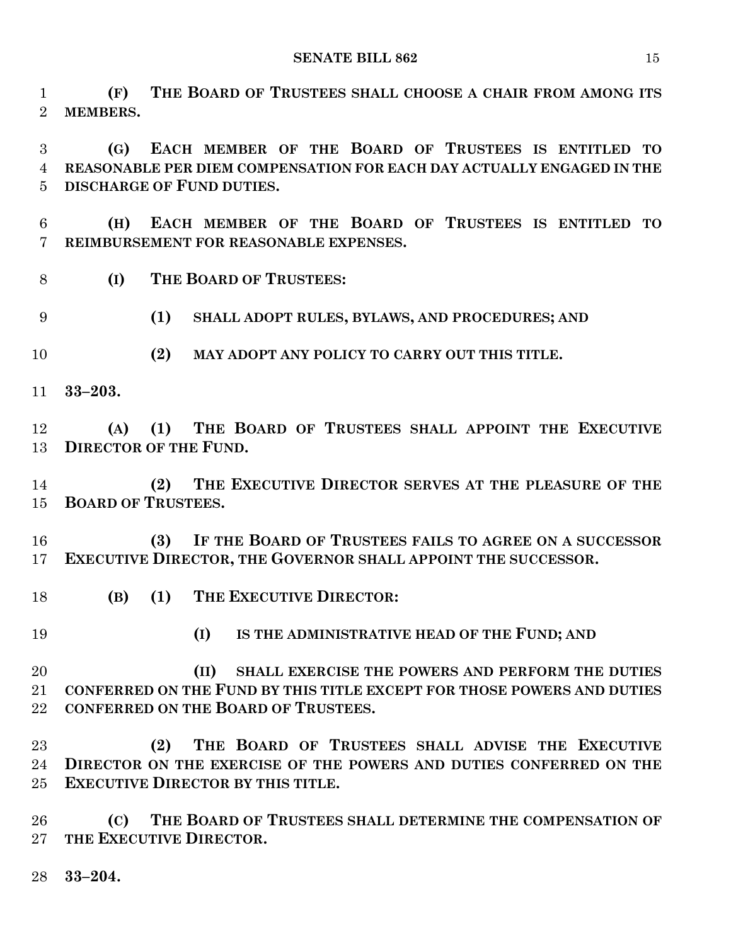**(F) THE BOARD OF TRUSTEES SHALL CHOOSE A CHAIR FROM AMONG ITS MEMBERS.**

 **(G) EACH MEMBER OF THE BOARD OF TRUSTEES IS ENTITLED TO REASONABLE PER DIEM COMPENSATION FOR EACH DAY ACTUALLY ENGAGED IN THE DISCHARGE OF FUND DUTIES.**

 **(H) EACH MEMBER OF THE BOARD OF TRUSTEES IS ENTITLED TO REIMBURSEMENT FOR REASONABLE EXPENSES.**

**(I) THE BOARD OF TRUSTEES:**

**(1) SHALL ADOPT RULES, BYLAWS, AND PROCEDURES; AND**

**(2) MAY ADOPT ANY POLICY TO CARRY OUT THIS TITLE.**

**33–203.**

 **(A) (1) THE BOARD OF TRUSTEES SHALL APPOINT THE EXECUTIVE DIRECTOR OF THE FUND.**

 **(2) THE EXECUTIVE DIRECTOR SERVES AT THE PLEASURE OF THE BOARD OF TRUSTEES.**

 **(3) IF THE BOARD OF TRUSTEES FAILS TO AGREE ON A SUCCESSOR EXECUTIVE DIRECTOR, THE GOVERNOR SHALL APPOINT THE SUCCESSOR.**

- **(B) (1) THE EXECUTIVE DIRECTOR:**
- 

**(I) IS THE ADMINISTRATIVE HEAD OF THE FUND; AND**

 **(II) SHALL EXERCISE THE POWERS AND PERFORM THE DUTIES CONFERRED ON THE FUND BY THIS TITLE EXCEPT FOR THOSE POWERS AND DUTIES CONFERRED ON THE BOARD OF TRUSTEES.**

 **(2) THE BOARD OF TRUSTEES SHALL ADVISE THE EXECUTIVE DIRECTOR ON THE EXERCISE OF THE POWERS AND DUTIES CONFERRED ON THE EXECUTIVE DIRECTOR BY THIS TITLE.**

 **(C) THE BOARD OF TRUSTEES SHALL DETERMINE THE COMPENSATION OF THE EXECUTIVE DIRECTOR.**

**33–204.**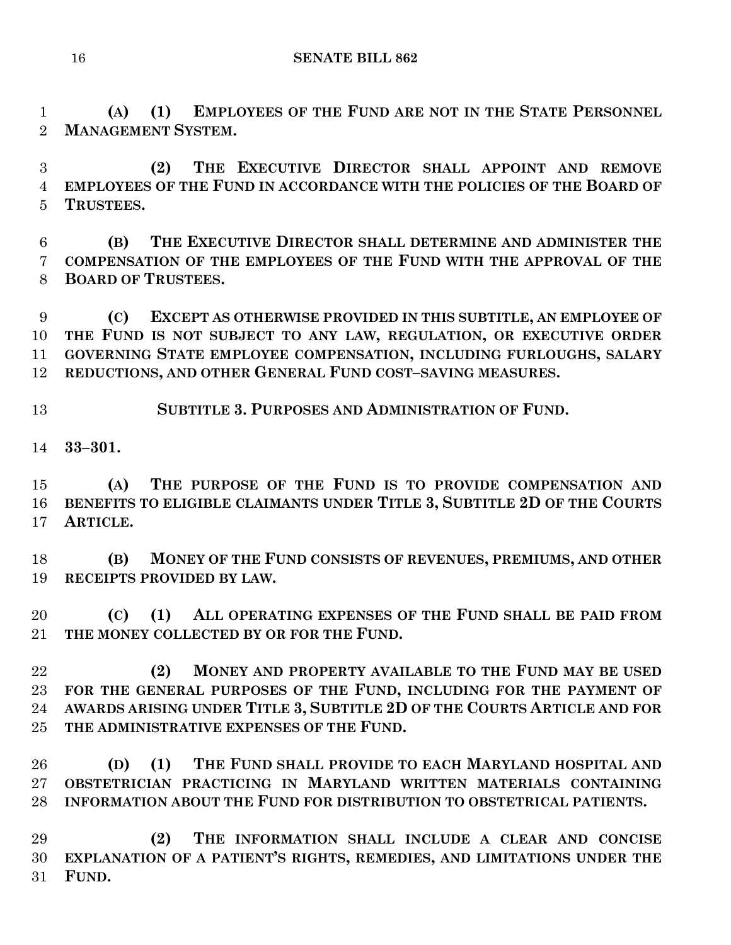**(A) (1) EMPLOYEES OF THE FUND ARE NOT IN THE STATE PERSONNEL MANAGEMENT SYSTEM.**

 **(2) THE EXECUTIVE DIRECTOR SHALL APPOINT AND REMOVE EMPLOYEES OF THE FUND IN ACCORDANCE WITH THE POLICIES OF THE BOARD OF TRUSTEES.**

 **(B) THE EXECUTIVE DIRECTOR SHALL DETERMINE AND ADMINISTER THE COMPENSATION OF THE EMPLOYEES OF THE FUND WITH THE APPROVAL OF THE BOARD OF TRUSTEES.**

 **(C) EXCEPT AS OTHERWISE PROVIDED IN THIS SUBTITLE, AN EMPLOYEE OF THE FUND IS NOT SUBJECT TO ANY LAW, REGULATION, OR EXECUTIVE ORDER GOVERNING STATE EMPLOYEE COMPENSATION, INCLUDING FURLOUGHS, SALARY REDUCTIONS, AND OTHER GENERAL FUND COST–SAVING MEASURES.**

**SUBTITLE 3. PURPOSES AND ADMINISTRATION OF FUND.**

**33–301.**

 **(A) THE PURPOSE OF THE FUND IS TO PROVIDE COMPENSATION AND BENEFITS TO ELIGIBLE CLAIMANTS UNDER TITLE 3, SUBTITLE 2D OF THE COURTS ARTICLE.**

 **(B) MONEY OF THE FUND CONSISTS OF REVENUES, PREMIUMS, AND OTHER RECEIPTS PROVIDED BY LAW.**

 **(C) (1) ALL OPERATING EXPENSES OF THE FUND SHALL BE PAID FROM THE MONEY COLLECTED BY OR FOR THE FUND.**

 **(2) MONEY AND PROPERTY AVAILABLE TO THE FUND MAY BE USED FOR THE GENERAL PURPOSES OF THE FUND, INCLUDING FOR THE PAYMENT OF AWARDS ARISING UNDER TITLE 3, SUBTITLE 2D OF THE COURTS ARTICLE AND FOR THE ADMINISTRATIVE EXPENSES OF THE FUND.**

 **(D) (1) THE FUND SHALL PROVIDE TO EACH MARYLAND HOSPITAL AND OBSTETRICIAN PRACTICING IN MARYLAND WRITTEN MATERIALS CONTAINING INFORMATION ABOUT THE FUND FOR DISTRIBUTION TO OBSTETRICAL PATIENTS.**

 **(2) THE INFORMATION SHALL INCLUDE A CLEAR AND CONCISE EXPLANATION OF A PATIENT'S RIGHTS, REMEDIES, AND LIMITATIONS UNDER THE FUND.**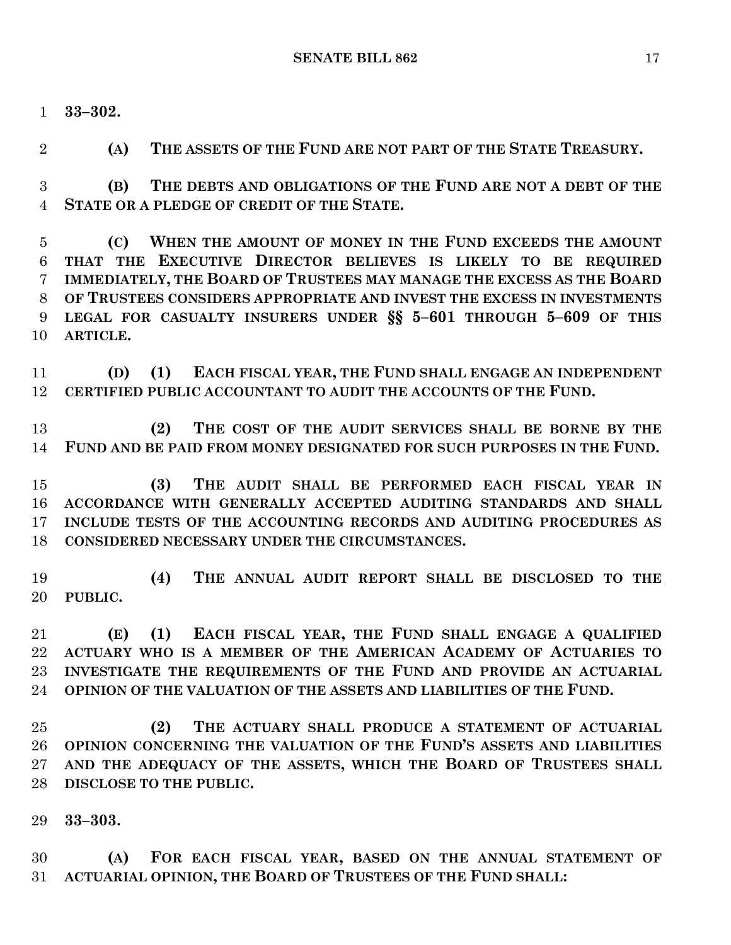**33–302.**

**(A) THE ASSETS OF THE FUND ARE NOT PART OF THE STATE TREASURY.**

 **(B) THE DEBTS AND OBLIGATIONS OF THE FUND ARE NOT A DEBT OF THE STATE OR A PLEDGE OF CREDIT OF THE STATE.**

 **(C) WHEN THE AMOUNT OF MONEY IN THE FUND EXCEEDS THE AMOUNT THAT THE EXECUTIVE DIRECTOR BELIEVES IS LIKELY TO BE REQUIRED IMMEDIATELY, THE BOARD OF TRUSTEES MAY MANAGE THE EXCESS AS THE BOARD OF TRUSTEES CONSIDERS APPROPRIATE AND INVEST THE EXCESS IN INVESTMENTS LEGAL FOR CASUALTY INSURERS UNDER §§ 5–601 THROUGH 5–609 OF THIS ARTICLE.**

 **(D) (1) EACH FISCAL YEAR, THE FUND SHALL ENGAGE AN INDEPENDENT CERTIFIED PUBLIC ACCOUNTANT TO AUDIT THE ACCOUNTS OF THE FUND.**

 **(2) THE COST OF THE AUDIT SERVICES SHALL BE BORNE BY THE FUND AND BE PAID FROM MONEY DESIGNATED FOR SUCH PURPOSES IN THE FUND.**

 **(3) THE AUDIT SHALL BE PERFORMED EACH FISCAL YEAR IN ACCORDANCE WITH GENERALLY ACCEPTED AUDITING STANDARDS AND SHALL INCLUDE TESTS OF THE ACCOUNTING RECORDS AND AUDITING PROCEDURES AS CONSIDERED NECESSARY UNDER THE CIRCUMSTANCES.**

 **(4) THE ANNUAL AUDIT REPORT SHALL BE DISCLOSED TO THE PUBLIC.**

 **(E) (1) EACH FISCAL YEAR, THE FUND SHALL ENGAGE A QUALIFIED ACTUARY WHO IS A MEMBER OF THE AMERICAN ACADEMY OF ACTUARIES TO INVESTIGATE THE REQUIREMENTS OF THE FUND AND PROVIDE AN ACTUARIAL OPINION OF THE VALUATION OF THE ASSETS AND LIABILITIES OF THE FUND.**

 **(2) THE ACTUARY SHALL PRODUCE A STATEMENT OF ACTUARIAL OPINION CONCERNING THE VALUATION OF THE FUND'S ASSETS AND LIABILITIES AND THE ADEQUACY OF THE ASSETS, WHICH THE BOARD OF TRUSTEES SHALL DISCLOSE TO THE PUBLIC.**

**33–303.**

 **(A) FOR EACH FISCAL YEAR, BASED ON THE ANNUAL STATEMENT OF ACTUARIAL OPINION, THE BOARD OF TRUSTEES OF THE FUND SHALL:**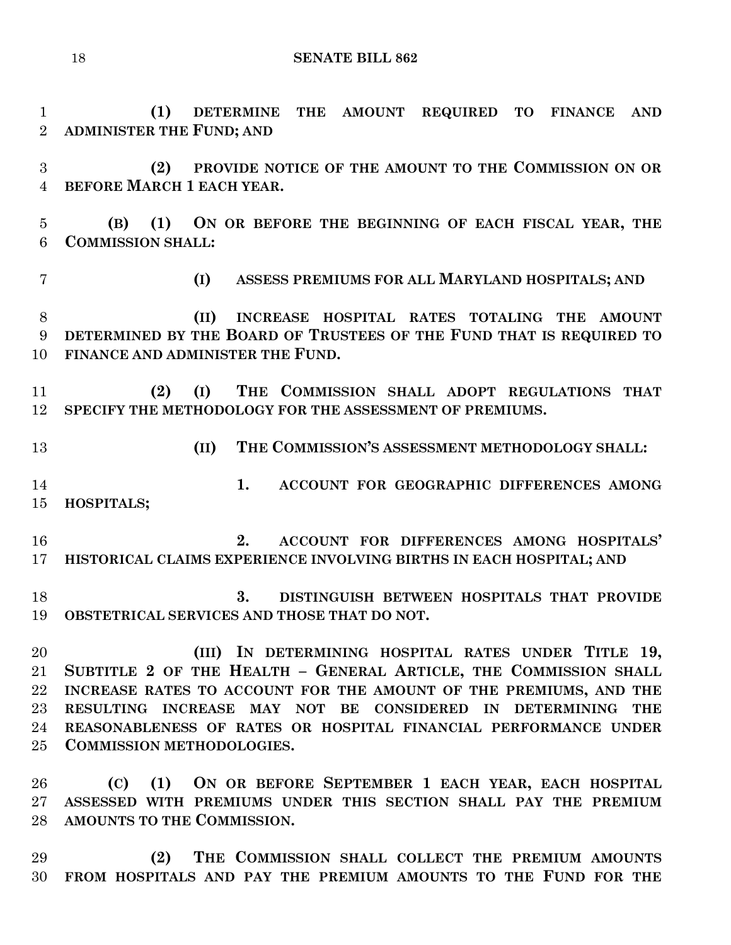**(1) DETERMINE THE AMOUNT REQUIRED TO FINANCE AND** 

 **ADMINISTER THE FUND; AND (2) PROVIDE NOTICE OF THE AMOUNT TO THE COMMISSION ON OR BEFORE MARCH 1 EACH YEAR. (B) (1) ON OR BEFORE THE BEGINNING OF EACH FISCAL YEAR, THE COMMISSION SHALL: (I) ASSESS PREMIUMS FOR ALL MARYLAND HOSPITALS; AND (II) INCREASE HOSPITAL RATES TOTALING THE AMOUNT DETERMINED BY THE BOARD OF TRUSTEES OF THE FUND THAT IS REQUIRED TO FINANCE AND ADMINISTER THE FUND. (2) (I) THE COMMISSION SHALL ADOPT REGULATIONS THAT SPECIFY THE METHODOLOGY FOR THE ASSESSMENT OF PREMIUMS. (II) THE COMMISSION'S ASSESSMENT METHODOLOGY SHALL: 1. ACCOUNT FOR GEOGRAPHIC DIFFERENCES AMONG HOSPITALS; 2. ACCOUNT FOR DIFFERENCES AMONG HOSPITALS' HISTORICAL CLAIMS EXPERIENCE INVOLVING BIRTHS IN EACH HOSPITAL; AND 3. DISTINGUISH BETWEEN HOSPITALS THAT PROVIDE OBSTETRICAL SERVICES AND THOSE THAT DO NOT. (III) IN DETERMINING HOSPITAL RATES UNDER TITLE 19,**

 **SUBTITLE 2 OF THE HEALTH – GENERAL ARTICLE, THE COMMISSION SHALL INCREASE RATES TO ACCOUNT FOR THE AMOUNT OF THE PREMIUMS, AND THE RESULTING INCREASE MAY NOT BE CONSIDERED IN DETERMINING THE REASONABLENESS OF RATES OR HOSPITAL FINANCIAL PERFORMANCE UNDER COMMISSION METHODOLOGIES.**

 **(C) (1) ON OR BEFORE SEPTEMBER 1 EACH YEAR, EACH HOSPITAL ASSESSED WITH PREMIUMS UNDER THIS SECTION SHALL PAY THE PREMIUM AMOUNTS TO THE COMMISSION.**

 **(2) THE COMMISSION SHALL COLLECT THE PREMIUM AMOUNTS FROM HOSPITALS AND PAY THE PREMIUM AMOUNTS TO THE FUND FOR THE**